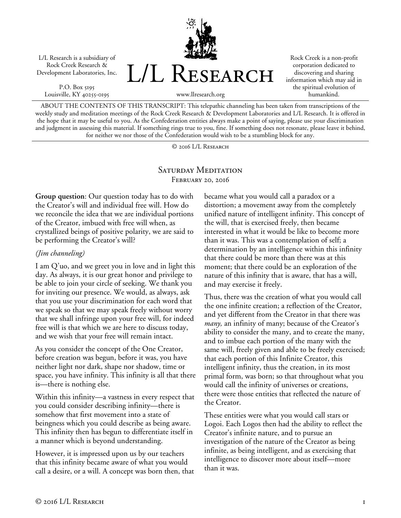L/L Research is a subsidiary of Rock Creek Research & Development Laboratories, Inc.

P.O. Box 5195 Louisville, KY 40255-0195 L/L RESEARCH

Rock Creek is a non-profit corporation dedicated to discovering and sharing information which may aid in the spiritual evolution of humankind.

ABOUT THE CONTENTS OF THIS TRANSCRIPT: This telepathic channeling has been taken from transcriptions of the weekly study and meditation meetings of the Rock Creek Research & Development Laboratories and L/L Research. It is offered in the hope that it may be useful to you. As the Confederation entities always make a point of saying, please use your discrimination and judgment in assessing this material. If something rings true to you, fine. If something does not resonate, please leave it behind, for neither we nor those of the Confederation would wish to be a stumbling block for any.

www.llresearch.org

© 2016 L/L Research

## SATURDAY MEDITATION February 20, 2016

**Group question**: Our question today has to do with the Creator's will and individual free will. How do we reconcile the idea that we are individual portions of the Creator, imbued with free will when, as crystallized beings of positive polarity, we are said to be performing the Creator's will?

## *(Jim channeling)*

I am Q'uo, and we greet you in love and in light this day. As always, it is our great honor and privilege to be able to join your circle of seeking. We thank you for inviting our presence. We would, as always, ask that you use your discrimination for each word that we speak so that we may speak freely without worry that we shall infringe upon your free will, for indeed free will is that which we are here to discuss today, and we wish that your free will remain intact.

As you consider the concept of the One Creator, before creation was begun, before it was, you have neither light nor dark, shape nor shadow, time or space, you have infinity. This infinity is all that there is—there is nothing else.

Within this infinity—a vastness in every respect that you could consider describing infinity—there is somehow that first movement into a state of beingness which you could describe as being aware. This infinity then has begun to differentiate itself in a manner which is beyond understanding.

However, it is impressed upon us by our teachers that this infinity became aware of what you would call a desire, or a will. A concept was born then, that became what you would call a paradox or a distortion; a movement away from the completely unified nature of intelligent infinity. This concept of the will, that is exercised freely, then became interested in what it would be like to become more than it was. This was a contemplation of self; a determination by an intelligence within this infinity that there could be more than there was at this moment; that there could be an exploration of the nature of this infinity that is aware, that has a will, and may exercise it freely.

Thus, there was the creation of what you would call the one infinite creation; a reflection of the Creator, and yet different from the Creator in that there was *many,* an infinity of many; because of the Creator's ability to consider the many, and to create the many, and to imbue each portion of the many with the same will, freely given and able to be freely exercised; that each portion of this Infinite Creator, this intelligent infinity, thus the creation, in its most primal form, was born; so that throughout what you would call the infinity of universes or creations, there were those entities that reflected the nature of the Creator.

These entities were what you would call stars or Logoi. Each Logos then had the ability to reflect the Creator's infinite nature, and to pursue an investigation of the nature of the Creator as being infinite, as being intelligent, and as exercising that intelligence to discover more about itself—more than it was.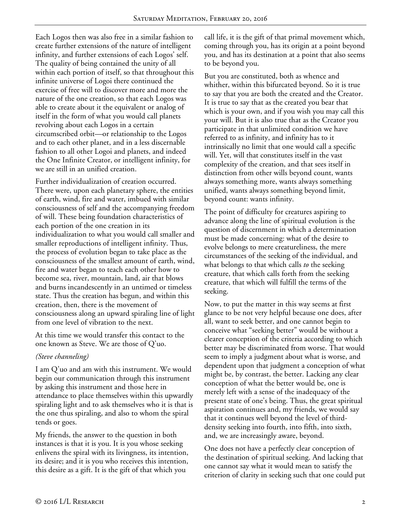Each Logos then was also free in a similar fashion to create further extensions of the nature of intelligent infinity, and further extensions of each Logos' self. The quality of being contained the unity of all within each portion of itself, so that throughout this infinite universe of Logoi there continued the exercise of free will to discover more and more the nature of the one creation, so that each Logos was able to create about it the equivalent or analog of itself in the form of what you would call planets revolving about each Logos in a certain circumscribed orbit—or relationship to the Logos and to each other planet, and in a less discernable fashion to all other Logoi and planets, and indeed the One Infinite Creator, or intelligent infinity, for we are still in an unified creation.

Further individualization of creation occurred. There were, upon each planetary sphere, the entities of earth, wind, fire and water, imbued with similar consciousness of self and the accompanying freedom of will. These being foundation characteristics of each portion of the one creation in its individualization to what you would call smaller and smaller reproductions of intelligent infinity. Thus, the process of evolution began to take place as the consciousness of the smallest amount of earth, wind, fire and water began to teach each other how to become sea, river, mountain, land, air that blows and burns incandescently in an untimed or timeless state. Thus the creation has begun, and within this creation, then, there is the movement of consciousness along an upward spiraling line of light from one level of vibration to the next.

At this time we would transfer this contact to the one known as Steve. We are those of Q'uo.

## *(Steve channeling)*

I am Q'uo and am with this instrument. We would begin our communication through this instrument by asking this instrument and those here in attendance to place themselves within this upwardly spiraling light and to ask themselves who it is that is the one thus spiraling, and also to whom the spiral tends or goes.

My friends, the answer to the question in both instances is that it is you. It is you whose seeking enlivens the spiral with its livingness, its intention, its desire; and it is you who receives this intention, this desire as a gift. It is the gift of that which you

call life, it is the gift of that primal movement which, coming through you, has its origin at a point beyond you, and has its destination at a point that also seems to be beyond you.

But you are constituted, both as whence and whither, within this bifurcated beyond. So it is true to say that you are both the created and the Creator. It is true to say that as the created you bear that which is your own, and if you wish you may call this your will. But it is also true that as the Creator you participate in that unlimited condition we have referred to as infinity, and infinity has to it intrinsically no limit that one would call a specific will. Yet, will that constitutes itself in the vast complexity of the creation, and that sees itself in distinction from other wills beyond count, wants always something more, wants always something unified, wants always something beyond limit, beyond count: wants infinity.

The point of difficulty for creatures aspiring to advance along the line of spiritual evolution is the question of discernment in which a determination must be made concerning: what of the desire to evolve belongs to mere creatureliness, the mere circumstances of the seeking of the individual, and what belongs to that which calls *to* the seeking creature, that which calls forth from the seeking creature, that which will fulfill the terms of the seeking.

Now, to put the matter in this way seems at first glance to be not very helpful because one does, after all, want to seek better, and one cannot begin to conceive what "seeking better" would be without a clearer conception of the criteria according to which better may be discriminated from worse. That would seem to imply a judgment about what is worse, and dependent upon that judgment a conception of what might be, by contrast, the better. Lacking any clear conception of what the better would be, one is merely left with a sense of the inadequacy of the present state of one's being. Thus, the great spiritual aspiration continues and, my friends, we would say that it continues well beyond the level of thirddensity seeking into fourth, into fifth, into sixth, and, we are increasingly aware, beyond.

One does not have a perfectly clear conception of the destination of spiritual seeking. And lacking that one cannot say what it would mean to satisfy the criterion of clarity in seeking such that one could put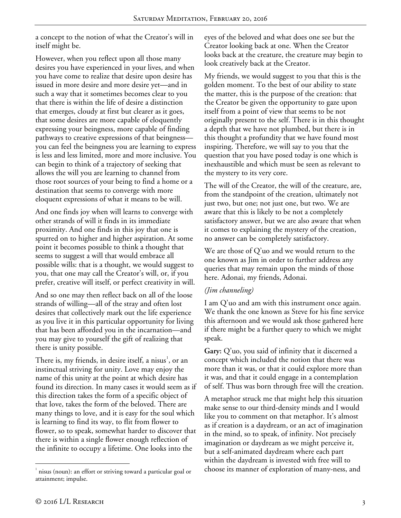a concept to the notion of what the Creator's will in itself might be.

However, when you reflect upon all those many desires you have experienced in your lives, and when you have come to realize that desire upon desire has issued in more desire and more desire yet—and in such a way that it sometimes becomes clear to you that there is within the life of desire a distinction that emerges, cloudy at first but clearer as it goes, that some desires are more capable of eloquently expressing your beingness, more capable of finding pathways to creative expressions of that beingness you can feel the beingness you are learning to express is less and less limited, more and more inclusive. You can begin to think of a trajectory of seeking that allows the will you are learning to channel from those root sources of your being to find a home or a destination that seems to converge with more eloquent expressions of what it means to be will.

And one finds joy when will learns to converge with other strands of will it finds in its immediate proximity. And one finds in this joy that one is spurred on to higher and higher aspiration. At some point it becomes possible to think a thought that seems to suggest a will that would embrace all possible wills: that is a thought, we would suggest to you, that one may call the Creator's will, or, if you prefer, creative will itself, or perfect creativity in will.

And so one may then reflect back on all of the loose strands of willing—all of the stray and often lost desires that collectively mark out the life experience as you live it in this particular opportunity for living that has been afforded you in the incarnation—and you may give to yourself the gift of realizing that there is unity possible.

There is, my friends, in desire itself, a nisus<sup>[1](#page-2-0)</sup>, or an instinctual striving for unity. Love may enjoy the name of this unity at the point at which desire has found its direction. In many cases it would seem as if this direction takes the form of a specific object of that love, takes the form of the beloved. There are many things to love, and it is easy for the soul which is learning to find its way, to flit from flower to flower, so to speak, somewhat harder to discover that there is within a single flower enough reflection of the infinite to occupy a lifetime. One looks into the

eyes of the beloved and what does one see but the Creator looking back at one. When the Creator looks back at the creature, the creature may begin to look creatively back at the Creator.

My friends, we would suggest to you that this is the golden moment. To the best of our ability to state the matter, this is the purpose of the creation: that the Creator be given the opportunity to gaze upon itself from a point of view that seems to be not originally present to the self. There is in this thought a depth that we have not plumbed, but there is in this thought a profundity that we have found most inspiring. Therefore, we will say to you that the question that you have posed today is one which is inexhaustible and which must be seen as relevant to the mystery to its very core.

The will of the Creator, the will of the creature, are, from the standpoint of the creation, ultimately not just two, but one; not just one, but two. We are aware that this is likely to be not a completely satisfactory answer, but we are also aware that when it comes to explaining the mystery of the creation, no answer can be completely satisfactory.

We are those of Q'uo and we would return to the one known as Jim in order to further address any queries that may remain upon the minds of those here. Adonai, my friends, Adonai.

## *(Jim channeling)*

I am Q'uo and am with this instrument once again. We thank the one known as Steve for his fine service this afternoon and we would ask those gathered here if there might be a further query to which we might speak.

**Gary:** Q'uo, you said of infinity that it discerned a concept which included the notion that there was more than it was, or that it could explore more than it was, and that it could engage in a contemplation of self. Thus was born through free will the creation.

A metaphor struck me that might help this situation make sense to our third-density minds and I would like you to comment on that metaphor. It's almost as if creation is a daydream, or an act of imagination in the mind, so to speak, of infinity. Not precisely imagination or daydream as we might perceive it, but a self-animated daydream where each part within the daydream is invested with free will to choose its manner of exploration of many-ness, and

 $\overline{a}$ 

<span id="page-2-0"></span><sup>&</sup>lt;sup>1</sup> nisus (noun): an effort or striving toward a particular goal or attainment; impulse.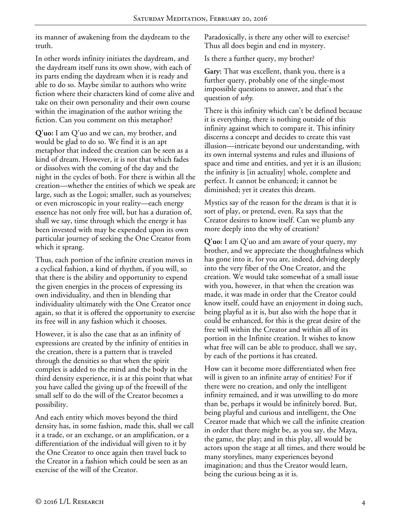its manner of awakening from the daydream to the truth.

In other words infinity initiates the daydream, and the daydream itself runs its own show, with each of its parts ending the daydream when it is ready and able to do so. Maybe similar to authors who write fiction where their characters kind of come alive and take on their own personality and their own course within the imagination of the author writing the fiction. Can you comment on this metaphor?

**Q'uo:** I am Q'uo and we can, my brother, and would be glad to do so. We find it is an apt metaphor that indeed the creation can be seen as a kind of dream. However, it is not that which fades or dissolves with the coming of the day and the night in the cycles of both. For there is within all the creation—whether the entities of which we speak are large, such as the Logoi; smaller, such as yourselves; or even microscopic in your reality—each energy essence has not only free will, but has a duration of, shall we say, time through which the energy it has been invested with may be expended upon its own particular journey of seeking the One Creator from which it sprang.

Thus, each portion of the infinite creation moves in a cyclical fashion, a kind of rhythm, if you will, so that there is the ability and opportunity to expend the given energies in the process of expressing its own individuality, and then in blending that individuality ultimately with the One Creator once again, so that it is offered the opportunity to exercise its free will in any fashion which it chooses.

However, it is also the case that as an infinity of expressions are created by the infinity of entities in the creation, there is a pattern that is traveled through the densities so that when the spirit complex is added to the mind and the body in the third density experience, it is at this point that what you have called the giving up of the freewill of the small self to do the will of the Creator becomes a possibility.

And each entity which moves beyond the third density has, in some fashion, made this, shall we call it a trade, or an exchange, or an amplification, or a differentiation of the individual will given to it by the One Creator to once again then travel back to the Creator in a fashion which could be seen as an exercise of the will of the Creator.

Paradoxically, is there any other will to exercise? Thus all does begin and end in mystery.

Is there a further query, my brother?

**Gary:** That was excellent, thank you, there is a further query, probably one of the single-most impossible questions to answer, and that's the question of *why.* 

There is this infinity which can't be defined because it is everything, there is nothing outside of this infinity against which to compare it. This infinity discerns a concept and decides to create this vast illusion—intricate beyond our understanding, with its own internal systems and rules and illusions of space and time and entities, and yet it is an illusion; the infinity is [in actuality] whole, complete and perfect. It cannot be enhanced; it cannot be diminished; yet it creates this dream.

Mystics say of the reason for the dream is that it is sort of play, or pretend, even. Ra says that the Creator desires to know itself. Can we plumb any more deeply into the why of creation?

**Q'uo:** I am Q'uo and am aware of your query, my brother, and we appreciate the thoughtfulness which has gone into it, for you are, indeed, delving deeply into the very fiber of the One Creator, and the creation. We would take somewhat of a small issue with you, however, in that when the creation was made, it was made in order that the Creator could know itself, could have an enjoyment in doing such, being playful as it is, but also with the hope that it could be enhanced, for this is the great desire of the free will within the Creator and within all of its portion in the Infinite creation. It wishes to know what free will can be able to produce, shall we say, by each of the portions it has created.

How can it become more differentiated when free will is given to an infinite array of entities? For if there were no creation, and only the intelligent infinity remained, and it was unwilling to do more than be, perhaps it would be infinitely bored. But, being playful and curious and intelligent, the One Creator made that which we call the infinite creation in order that there might be, as you say, the Maya, the game, the play; and in this play, all would be actors upon the stage at all times, and there would be many storylines, many experiences beyond imagination; and thus the Creator would learn, being the curious being as it is.